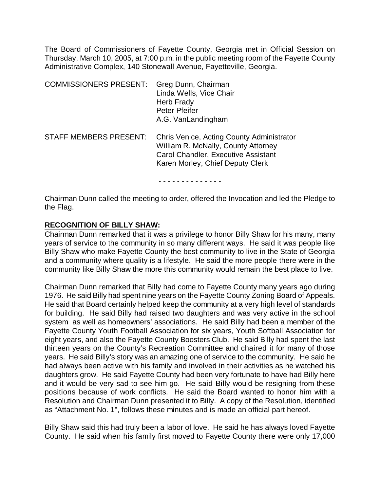The Board of Commissioners of Fayette County, Georgia met in Official Session on Thursday, March 10, 2005, at 7:00 p.m. in the public meeting room of the Fayette County Administrative Complex, 140 Stonewall Avenue, Fayetteville, Georgia.

| <b>COMMISSIONERS PRESENT:</b> | Greg Dunn, Chairman<br>Linda Wells, Vice Chair<br>Herb Frady<br><b>Peter Pfeifer</b><br>A.G. VanLandingham                                                  |
|-------------------------------|-------------------------------------------------------------------------------------------------------------------------------------------------------------|
| <b>STAFF MEMBERS PRESENT:</b> | Chris Venice, Acting County Administrator<br>William R. McNally, County Attorney<br>Carol Chandler, Executive Assistant<br>Karen Morley, Chief Deputy Clerk |

- - - - - - - - - - - - - -

Chairman Dunn called the meeting to order, offered the Invocation and led the Pledge to the Flag.

## **RECOGNITION OF BILLY SHAW:**

Chairman Dunn remarked that it was a privilege to honor Billy Shaw for his many, many years of service to the community in so many different ways. He said it was people like Billy Shaw who make Fayette County the best community to live in the State of Georgia and a community where quality is a lifestyle. He said the more people there were in the community like Billy Shaw the more this community would remain the best place to live.

Chairman Dunn remarked that Billy had come to Fayette County many years ago during 1976. He said Billy had spent nine years on the Fayette County Zoning Board of Appeals. He said that Board certainly helped keep the community at a very high level of standards for building. He said Billy had raised two daughters and was very active in the school system as well as homeowners' associations. He said Billy had been a member of the Fayette County Youth Football Association for six years, Youth Softball Association for eight years, and also the Fayette County Boosters Club. He said Billy had spent the last thirteen years on the County's Recreation Committee and chaired it for many of those years. He said Billy's story was an amazing one of service to the community. He said he had always been active with his family and involved in their activities as he watched his daughters grow. He said Fayette County had been very fortunate to have had Billy here and it would be very sad to see him go. He said Billy would be resigning from these positions because of work conflicts. He said the Board wanted to honor him with a Resolution and Chairman Dunn presented it to Billy. A copy of the Resolution, identified as "Attachment No. 1", follows these minutes and is made an official part hereof.

Billy Shaw said this had truly been a labor of love. He said he has always loved Fayette County. He said when his family first moved to Fayette County there were only 17,000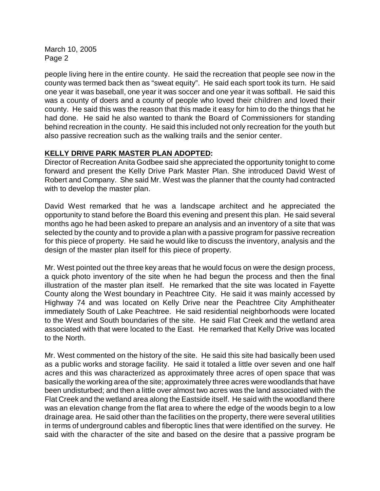people living here in the entire county. He said the recreation that people see now in the county was termed back then as "sweat equity". He said each sport took its turn. He said one year it was baseball, one year it was soccer and one year it was softball. He said this was a county of doers and a county of people who loved their children and loved their county. He said this was the reason that this made it easy for him to do the things that he had done. He said he also wanted to thank the Board of Commissioners for standing behind recreation in the county. He said this included not only recreation for the youth but also passive recreation such as the walking trails and the senior center.

# **KELLY DRIVE PARK MASTER PLAN ADOPTED:**

Director of Recreation Anita Godbee said she appreciated the opportunity tonight to come forward and present the Kelly Drive Park Master Plan. She introduced David West of Robert and Company. She said Mr. West was the planner that the county had contracted with to develop the master plan.

David West remarked that he was a landscape architect and he appreciated the opportunity to stand before the Board this evening and present this plan. He said several months ago he had been asked to prepare an analysis and an inventory of a site that was selected by the county and to provide a plan with a passive program for passive recreation for this piece of property. He said he would like to discuss the inventory, analysis and the design of the master plan itself for this piece of property.

Mr. West pointed out the three key areas that he would focus on were the design process, a quick photo inventory of the site when he had begun the process and then the final illustration of the master plan itself. He remarked that the site was located in Fayette County along the West boundary in Peachtree City. He said it was mainly accessed by Highway 74 and was located on Kelly Drive near the Peachtree City Amphitheater immediately South of Lake Peachtree. He said residential neighborhoods were located to the West and South boundaries of the site. He said Flat Creek and the wetland area associated with that were located to the East. He remarked that Kelly Drive was located to the North.

Mr. West commented on the history of the site. He said this site had basically been used as a public works and storage facility. He said it totaled a little over seven and one half acres and this was characterized as approximately three acres of open space that was basically the working area of the site; approximately three acres were woodlands that have been undisturbed; and then a little over almost two acres was the land associated with the Flat Creek and the wetland area along the Eastside itself. He said with the woodland there was an elevation change from the flat area to where the edge of the woods begin to a low drainage area. He said other than the facilities on the property, there were several utilities in terms of underground cables and fiberoptic lines that were identified on the survey. He said with the character of the site and based on the desire that a passive program be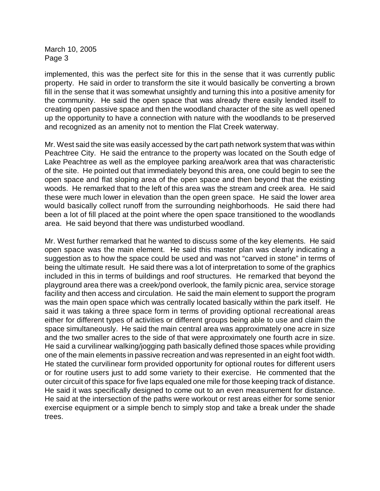implemented, this was the perfect site for this in the sense that it was currently public property. He said in order to transform the site it would basically be converting a brown fill in the sense that it was somewhat unsightly and turning this into a positive amenity for the community. He said the open space that was already there easily lended itself to creating open passive space and then the woodland character of the site as well opened up the opportunity to have a connection with nature with the woodlands to be preserved and recognized as an amenity not to mention the Flat Creek waterway.

Mr. West said the site was easily accessed by the cart path network system that was within Peachtree City. He said the entrance to the property was located on the South edge of Lake Peachtree as well as the employee parking area/work area that was characteristic of the site. He pointed out that immediately beyond this area, one could begin to see the open space and flat sloping area of the open space and then beyond that the existing woods. He remarked that to the left of this area was the stream and creek area. He said these were much lower in elevation than the open green space. He said the lower area would basically collect runoff from the surrounding neighborhoods. He said there had been a lot of fill placed at the point where the open space transitioned to the woodlands area. He said beyond that there was undisturbed woodland.

Mr. West further remarked that he wanted to discuss some of the key elements. He said open space was the main element. He said this master plan was clearly indicating a suggestion as to how the space could be used and was not "carved in stone" in terms of being the ultimate result. He said there was a lot of interpretation to some of the graphics included in this in terms of buildings and roof structures. He remarked that beyond the playground area there was a creek/pond overlook, the family picnic area, service storage facility and then access and circulation. He said the main element to support the program was the main open space which was centrally located basically within the park itself. He said it was taking a three space form in terms of providing optional recreational areas either for different types of activities or different groups being able to use and claim the space simultaneously. He said the main central area was approximately one acre in size and the two smaller acres to the side of that were approximately one fourth acre in size. He said a curvilinear walking/jogging path basically defined those spaces while providing one of the main elements in passive recreation and was represented in an eight foot width. He stated the curvilinear form provided opportunity for optional routes for different users or for routine users just to add some variety to their exercise. He commented that the outer circuit of this space for five laps equaled one mile for those keeping track of distance. He said it was specifically designed to come out to an even measurement for distance. He said at the intersection of the paths were workout or rest areas either for some senior exercise equipment or a simple bench to simply stop and take a break under the shade trees.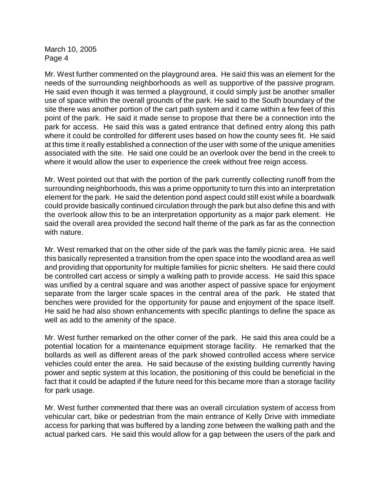Mr. West further commented on the playground area. He said this was an element for the needs of the surrounding neighborhoods as well as supportive of the passive program. He said even though it was termed a playground, it could simply just be another smaller use of space within the overall grounds of the park. He said to the South boundary of the site there was another portion of the cart path system and it came within a few feet of this point of the park. He said it made sense to propose that there be a connection into the park for access. He said this was a gated entrance that defined entry along this path where it could be controlled for different uses based on how the county sees fit. He said at this time it really established a connection of the user with some of the unique amenities associated with the site. He said one could be an overlook over the bend in the creek to where it would allow the user to experience the creek without free reign access.

Mr. West pointed out that with the portion of the park currently collecting runoff from the surrounding neighborhoods, this was a prime opportunity to turn this into an interpretation element for the park. He said the detention pond aspect could still exist while a boardwalk could provide basically continued circulation through the park but also define this and with the overlook allow this to be an interpretation opportunity as a major park element. He said the overall area provided the second half theme of the park as far as the connection with nature.

Mr. West remarked that on the other side of the park was the family picnic area. He said this basically represented a transition from the open space into the woodland area as well and providing that opportunity for multiple families for picnic shelters. He said there could be controlled cart access or simply a walking path to provide access. He said this space was unified by a central square and was another aspect of passive space for enjoyment separate from the larger scale spaces in the central area of the park. He stated that benches were provided for the opportunity for pause and enjoyment of the space itself. He said he had also shown enhancements with specific plantings to define the space as well as add to the amenity of the space.

Mr. West further remarked on the other corner of the park. He said this area could be a potential location for a maintenance equipment storage facility. He remarked that the bollards as well as different areas of the park showed controlled access where service vehicles could enter the area. He said because of the existing building currently having power and septic system at this location, the positioning of this could be beneficial in the fact that it could be adapted if the future need for this became more than a storage facility for park usage.

Mr. West further commented that there was an overall circulation system of access from vehicular cart, bike or pedestrian from the main entrance of Kelly Drive with immediate access for parking that was buffered by a landing zone between the walking path and the actual parked cars. He said this would allow for a gap between the users of the park and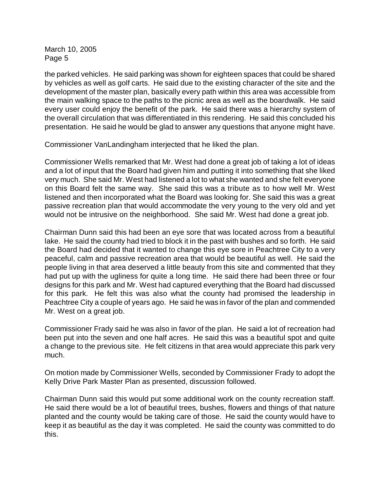the parked vehicles. He said parking was shown for eighteen spaces that could be shared by vehicles as well as golf carts. He said due to the existing character of the site and the development of the master plan, basically every path within this area was accessible from the main walking space to the paths to the picnic area as well as the boardwalk. He said every user could enjoy the benefit of the park. He said there was a hierarchy system of the overall circulation that was differentiated in this rendering. He said this concluded his presentation. He said he would be glad to answer any questions that anyone might have.

Commissioner VanLandingham interjected that he liked the plan.

Commissioner Wells remarked that Mr. West had done a great job of taking a lot of ideas and a lot of input that the Board had given him and putting it into something that she liked very much. She said Mr. West had listened a lot to what she wanted and she felt everyone on this Board felt the same way. She said this was a tribute as to how well Mr. West listened and then incorporated what the Board was looking for. She said this was a great passive recreation plan that would accommodate the very young to the very old and yet would not be intrusive on the neighborhood. She said Mr. West had done a great job.

Chairman Dunn said this had been an eye sore that was located across from a beautiful lake. He said the county had tried to block it in the past with bushes and so forth. He said the Board had decided that it wanted to change this eye sore in Peachtree City to a very peaceful, calm and passive recreation area that would be beautiful as well. He said the people living in that area deserved a little beauty from this site and commented that they had put up with the ugliness for quite a long time. He said there had been three or four designs for this park and Mr. West had captured everything that the Board had discussed for this park. He felt this was also what the county had promised the leadership in Peachtree City a couple of years ago. He said he was in favor of the plan and commended Mr. West on a great job.

Commissioner Frady said he was also in favor of the plan. He said a lot of recreation had been put into the seven and one half acres. He said this was a beautiful spot and quite a change to the previous site. He felt citizens in that area would appreciate this park very much.

On motion made by Commissioner Wells, seconded by Commissioner Frady to adopt the Kelly Drive Park Master Plan as presented, discussion followed.

Chairman Dunn said this would put some additional work on the county recreation staff. He said there would be a lot of beautiful trees, bushes, flowers and things of that nature planted and the county would be taking care of those. He said the county would have to keep it as beautiful as the day it was completed. He said the county was committed to do this.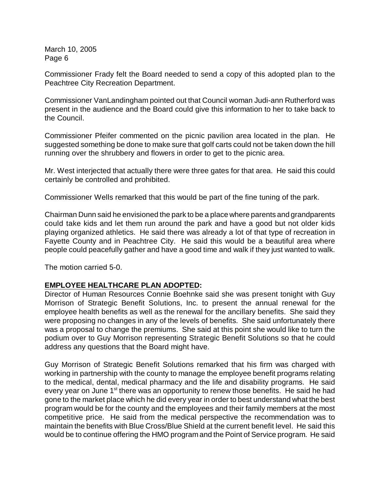Commissioner Frady felt the Board needed to send a copy of this adopted plan to the Peachtree City Recreation Department.

Commissioner VanLandingham pointed out that Council woman Judi-ann Rutherford was present in the audience and the Board could give this information to her to take back to the Council.

Commissioner Pfeifer commented on the picnic pavilion area located in the plan. He suggested something be done to make sure that golf carts could not be taken down the hill running over the shrubbery and flowers in order to get to the picnic area.

Mr. West interjected that actually there were three gates for that area. He said this could certainly be controlled and prohibited.

Commissioner Wells remarked that this would be part of the fine tuning of the park.

Chairman Dunn said he envisioned the park to be a place where parents and grandparents could take kids and let them run around the park and have a good but not older kids playing organized athletics. He said there was already a lot of that type of recreation in Fayette County and in Peachtree City. He said this would be a beautiful area where people could peacefully gather and have a good time and walk if they just wanted to walk.

The motion carried 5-0.

# **EMPLOYEE HEALTHCARE PLAN ADOPTED:**

Director of Human Resources Connie Boehnke said she was present tonight with Guy Morrison of Strategic Benefit Solutions, Inc. to present the annual renewal for the employee health benefits as well as the renewal for the ancillary benefits. She said they were proposing no changes in any of the levels of benefits. She said unfortunately there was a proposal to change the premiums. She said at this point she would like to turn the podium over to Guy Morrison representing Strategic Benefit Solutions so that he could address any questions that the Board might have.

Guy Morrison of Strategic Benefit Solutions remarked that his firm was charged with working in partnership with the county to manage the employee benefit programs relating to the medical, dental, medical pharmacy and the life and disability programs. He said every year on June 1<sup>st</sup> there was an opportunity to renew those benefits. He said he had gone to the market place which he did every year in order to best understand what the best program would be for the county and the employees and their family members at the most competitive price. He said from the medical perspective the recommendation was to maintain the benefits with Blue Cross/Blue Shield at the current benefit level. He said this would be to continue offering the HMO program and the Point of Service program. He said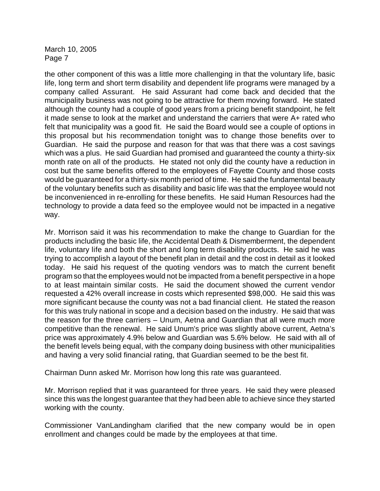the other component of this was a little more challenging in that the voluntary life, basic life, long term and short term disability and dependent life programs were managed by a company called Assurant. He said Assurant had come back and decided that the municipality business was not going to be attractive for them moving forward. He stated although the county had a couple of good years from a pricing benefit standpoint, he felt it made sense to look at the market and understand the carriers that were A+ rated who felt that municipality was a good fit. He said the Board would see a couple of options in this proposal but his recommendation tonight was to change those benefits over to Guardian. He said the purpose and reason for that was that there was a cost savings which was a plus. He said Guardian had promised and guaranteed the county a thirty-six month rate on all of the products. He stated not only did the county have a reduction in cost but the same benefits offered to the employees of Fayette County and those costs would be guaranteed for a thirty-six month period of time. He said the fundamental beauty of the voluntary benefits such as disability and basic life was that the employee would not be inconvenienced in re-enrolling for these benefits. He said Human Resources had the technology to provide a data feed so the employee would not be impacted in a negative way.

Mr. Morrison said it was his recommendation to make the change to Guardian for the products including the basic life, the Accidental Death & Dismemberment, the dependent life, voluntary life and both the short and long term disability products. He said he was trying to accomplish a layout of the benefit plan in detail and the cost in detail as it looked today. He said his request of the quoting vendors was to match the current benefit program so that the employees would not be impacted from a benefit perspective in a hope to at least maintain similar costs. He said the document showed the current vendor requested a 42% overall increase in costs which represented \$98,000. He said this was more significant because the county was not a bad financial client. He stated the reason for this was truly national in scope and a decision based on the industry. He said that was the reason for the three carriers – Unum, Aetna and Guardian that all were much more competitive than the renewal. He said Unum's price was slightly above current, Aetna's price was approximately 4.9% below and Guardian was 5.6% below. He said with all of the benefit levels being equal, with the company doing business with other municipalities and having a very solid financial rating, that Guardian seemed to be the best fit.

Chairman Dunn asked Mr. Morrison how long this rate was guaranteed.

Mr. Morrison replied that it was guaranteed for three years. He said they were pleased since this was the longest guarantee that they had been able to achieve since they started working with the county.

Commissioner VanLandingham clarified that the new company would be in open enrollment and changes could be made by the employees at that time.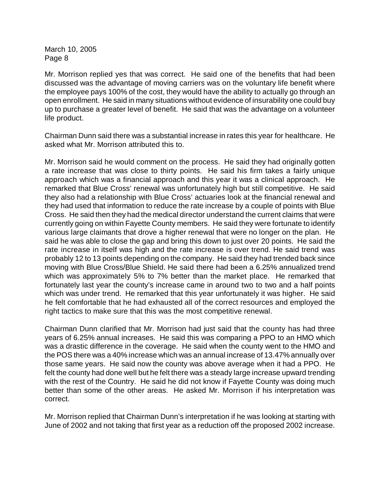Mr. Morrison replied yes that was correct. He said one of the benefits that had been discussed was the advantage of moving carriers was on the voluntary life benefit where the employee pays 100% of the cost, they would have the ability to actually go through an open enrollment. He said in many situations without evidence of insurability one could buy up to purchase a greater level of benefit. He said that was the advantage on a volunteer life product.

Chairman Dunn said there was a substantial increase in rates this year for healthcare. He asked what Mr. Morrison attributed this to.

Mr. Morrison said he would comment on the process. He said they had originally gotten a rate increase that was close to thirty points. He said his firm takes a fairly unique approach which was a financial approach and this year it was a clinical approach. He remarked that Blue Cross' renewal was unfortunately high but still competitive. He said they also had a relationship with Blue Cross' actuaries look at the financial renewal and they had used that information to reduce the rate increase by a couple of points with Blue Cross. He said then they had the medical director understand the current claims that were currently going on within Fayette County members. He said they were fortunate to identify various large claimants that drove a higher renewal that were no longer on the plan. He said he was able to close the gap and bring this down to just over 20 points. He said the rate increase in itself was high and the rate increase is over trend. He said trend was probably 12 to 13 points depending on the company. He said they had trended back since moving with Blue Cross/Blue Shield. He said there had been a 6.25% annualized trend which was approximately 5% to 7% better than the market place. He remarked that fortunately last year the county's increase came in around two to two and a half points which was under trend. He remarked that this year unfortunately it was higher. He said he felt comfortable that he had exhausted all of the correct resources and employed the right tactics to make sure that this was the most competitive renewal.

Chairman Dunn clarified that Mr. Morrison had just said that the county has had three years of 6.25% annual increases. He said this was comparing a PPO to an HMO which was a drastic difference in the coverage. He said when the county went to the HMO and the POS there was a 40% increase which was an annual increase of 13.47% annually over those same years. He said now the county was above average when it had a PPO. He felt the county had done well but he felt there was a steady large increase upward trending with the rest of the Country. He said he did not know if Fayette County was doing much better than some of the other areas. He asked Mr. Morrison if his interpretation was correct.

Mr. Morrison replied that Chairman Dunn's interpretation if he was looking at starting with June of 2002 and not taking that first year as a reduction off the proposed 2002 increase.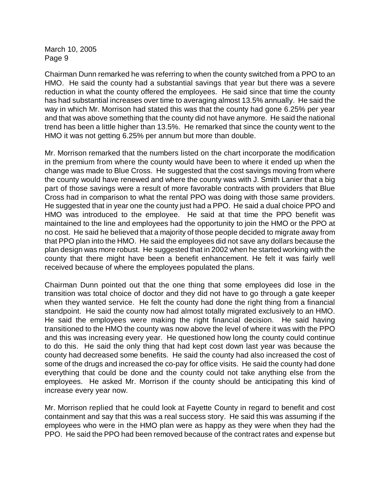Chairman Dunn remarked he was referring to when the county switched from a PPO to an HMO. He said the county had a substantial savings that year but there was a severe reduction in what the county offered the employees. He said since that time the county has had substantial increases over time to averaging almost 13.5% annually. He said the way in which Mr. Morrison had stated this was that the county had gone 6.25% per year and that was above something that the county did not have anymore. He said the national trend has been a little higher than 13.5%. He remarked that since the county went to the HMO it was not getting 6.25% per annum but more than double.

Mr. Morrison remarked that the numbers listed on the chart incorporate the modification in the premium from where the county would have been to where it ended up when the change was made to Blue Cross. He suggested that the cost savings moving from where the county would have renewed and where the county was with J. Smith Lanier that a big part of those savings were a result of more favorable contracts with providers that Blue Cross had in comparison to what the rental PPO was doing with those same providers. He suggested that in year one the county just had a PPO. He said a dual choice PPO and HMO was introduced to the employee. He said at that time the PPO benefit was maintained to the line and employees had the opportunity to join the HMO or the PPO at no cost. He said he believed that a majority of those people decided to migrate away from that PPO plan into the HMO. He said the employees did not save any dollars because the plan design was more robust. He suggested that in 2002 when he started working with the county that there might have been a benefit enhancement. He felt it was fairly well received because of where the employees populated the plans.

Chairman Dunn pointed out that the one thing that some employees did lose in the transition was total choice of doctor and they did not have to go through a gate keeper when they wanted service. He felt the county had done the right thing from a financial standpoint. He said the county now had almost totally migrated exclusively to an HMO. He said the employees were making the right financial decision. He said having transitioned to the HMO the county was now above the level of where it was with the PPO and this was increasing every year. He questioned how long the county could continue to do this. He said the only thing that had kept cost down last year was because the county had decreased some benefits. He said the county had also increased the cost of some of the drugs and increased the co-pay for office visits. He said the county had done everything that could be done and the county could not take anything else from the employees. He asked Mr. Morrison if the county should be anticipating this kind of increase every year now.

Mr. Morrison replied that he could look at Fayette County in regard to benefit and cost containment and say that this was a real success story. He said this was assuming if the employees who were in the HMO plan were as happy as they were when they had the PPO. He said the PPO had been removed because of the contract rates and expense but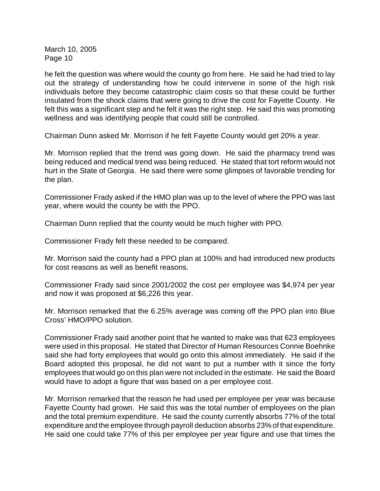he felt the question was where would the county go from here. He said he had tried to lay out the strategy of understanding how he could intervene in some of the high risk individuals before they become catastrophic claim costs so that these could be further insulated from the shock claims that were going to drive the cost for Fayette County. He felt this was a significant step and he felt it was the right step. He said this was promoting wellness and was identifying people that could still be controlled.

Chairman Dunn asked Mr. Morrison if he felt Fayette County would get 20% a year.

Mr. Morrison replied that the trend was going down. He said the pharmacy trend was being reduced and medical trend was being reduced. He stated that tort reform would not hurt in the State of Georgia. He said there were some glimpses of favorable trending for the plan.

Commissioner Frady asked if the HMO plan was up to the level of where the PPO was last year, where would the county be with the PPO.

Chairman Dunn replied that the county would be much higher with PPO.

Commissioner Frady felt these needed to be compared.

Mr. Morrison said the county had a PPO plan at 100% and had introduced new products for cost reasons as well as benefit reasons.

Commissioner Frady said since 2001/2002 the cost per employee was \$4,974 per year and now it was proposed at \$6,226 this year.

Mr. Morrison remarked that the 6.25% average was coming off the PPO plan into Blue Cross' HMO/PPO solution.

Commissioner Frady said another point that he wanted to make was that 623 employees were used in this proposal. He stated that Director of Human Resources Connie Boehnke said she had forty employees that would go onto this almost immediately. He said if the Board adopted this proposal, he did not want to put a number with it since the forty employees that would go on this plan were not included in the estimate. He said the Board would have to adopt a figure that was based on a per employee cost.

Mr. Morrison remarked that the reason he had used per employee per year was because Fayette County had grown. He said this was the total number of employees on the plan and the total premium expenditure. He said the county currently absorbs 77% of the total expenditure and the employee through payroll deduction absorbs 23% of that expenditure. He said one could take 77% of this per employee per year figure and use that times the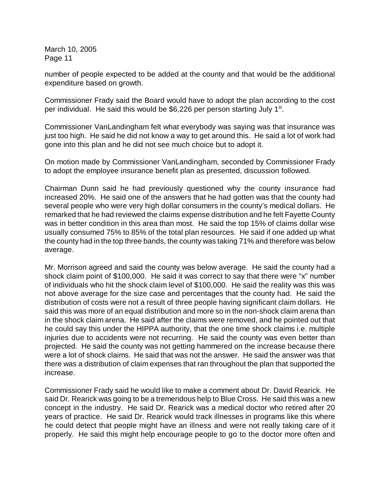number of people expected to be added at the county and that would be the additional expenditure based on growth.

Commissioner Frady said the Board would have to adopt the plan according to the cost per individual. He said this would be \$6,226 per person starting July  $1<sup>st</sup>$ .

Commissioner VanLandingham felt what everybody was saying was that insurance was just too high. He said he did not know a way to get around this. He said a lot of work had gone into this plan and he did not see much choice but to adopt it.

On motion made by Commissioner VanLandingham, seconded by Commissioner Frady to adopt the employee insurance benefit plan as presented, discussion followed.

Chairman Dunn said he had previously questioned why the county insurance had increased 20%. He said one of the answers that he had gotten was that the county had several people who were very high dollar consumers in the county's medical dollars. He remarked that he had reviewed the claims expense distribution and he felt Fayette County was in better condition in this area than most. He said the top 15% of claims dollar wise usually consumed 75% to 85% of the total plan resources. He said if one added up what the county had in the top three bands, the county was taking 71% and therefore was below average.

Mr. Morrison agreed and said the county was below average. He said the county had a shock claim point of \$100,000. He said it was correct to say that there were "x" number of individuals who hit the shock claim level of \$100,000. He said the reality was this was not above average for the size case and percentages that the county had. He said the distribution of costs were not a result of three people having significant claim dollars. He said this was more of an equal distribution and more so in the non-shock claim arena than in the shock claim arena. He said after the claims were removed, and he pointed out that he could say this under the HIPPA authority, that the one time shock claims i.e. multiple injuries due to accidents were not recurring. He said the county was even better than projected. He said the county was not getting hammered on the increase because there were a lot of shock claims. He said that was not the answer. He said the answer was that there was a distribution of claim expenses that ran throughout the plan that supported the increase.

Commissioner Frady said he would like to make a comment about Dr. David Rearick. He said Dr. Rearick was going to be a tremendous help to Blue Cross. He said this was a new concept in the industry. He said Dr. Rearick was a medical doctor who retired after 20 years of practice. He said Dr. Rearick would track illnesses in programs like this where he could detect that people might have an illness and were not really taking care of it properly. He said this might help encourage people to go to the doctor more often and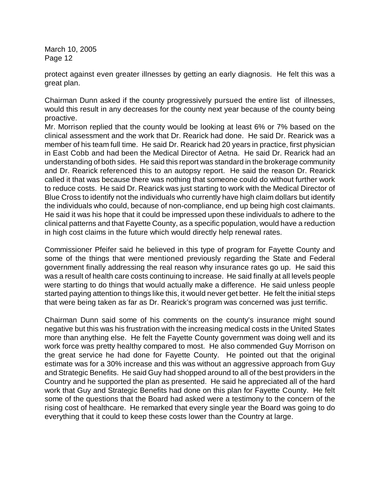protect against even greater illnesses by getting an early diagnosis. He felt this was a great plan.

Chairman Dunn asked if the county progressively pursued the entire list of illnesses, would this result in any decreases for the county next year because of the county being proactive.

Mr. Morrison replied that the county would be looking at least 6% or 7% based on the clinical assessment and the work that Dr. Rearick had done. He said Dr. Rearick was a member of his team full time. He said Dr. Rearick had 20 years in practice, first physician in East Cobb and had been the Medical Director of Aetna. He said Dr. Rearick had an understanding of both sides. He said this report was standard in the brokerage community and Dr. Rearick referenced this to an autopsy report. He said the reason Dr. Rearick called it that was because there was nothing that someone could do without further work to reduce costs. He said Dr. Rearick was just starting to work with the Medical Director of Blue Cross to identify not the individuals who currently have high claim dollars but identify the individuals who could, because of non-compliance, end up being high cost claimants. He said it was his hope that it could be impressed upon these individuals to adhere to the clinical patterns and that Fayette County, as a specific population, would have a reduction in high cost claims in the future which would directly help renewal rates.

Commissioner Pfeifer said he believed in this type of program for Fayette County and some of the things that were mentioned previously regarding the State and Federal government finally addressing the real reason why insurance rates go up. He said this was a result of health care costs continuing to increase. He said finally at all levels people were starting to do things that would actually make a difference. He said unless people started paying attention to things like this, it would never get better. He felt the initial steps that were being taken as far as Dr. Rearick's program was concerned was just terrific.

Chairman Dunn said some of his comments on the county's insurance might sound negative but this was his frustration with the increasing medical costs in the United States more than anything else. He felt the Fayette County government was doing well and its work force was pretty healthy compared to most. He also commended Guy Morrison on the great service he had done for Fayette County. He pointed out that the original estimate was for a 30% increase and this was without an aggressive approach from Guy and Strategic Benefits. He said Guy had shopped around to all of the best providers in the Country and he supported the plan as presented. He said he appreciated all of the hard work that Guy and Strategic Benefits had done on this plan for Fayette County. He felt some of the questions that the Board had asked were a testimony to the concern of the rising cost of healthcare. He remarked that every single year the Board was going to do everything that it could to keep these costs lower than the Country at large.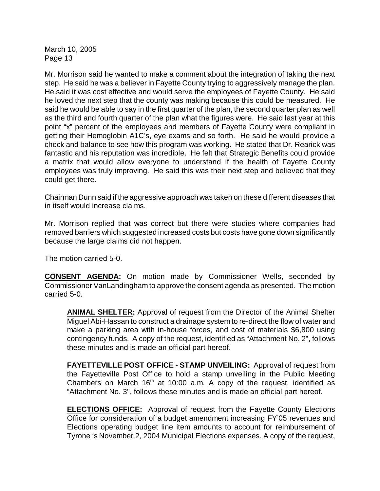Mr. Morrison said he wanted to make a comment about the integration of taking the next step. He said he was a believer in Fayette County trying to aggressively manage the plan. He said it was cost effective and would serve the employees of Fayette County. He said he loved the next step that the county was making because this could be measured. He said he would be able to say in the first quarter of the plan, the second quarter plan as well as the third and fourth quarter of the plan what the figures were. He said last year at this point "x" percent of the employees and members of Fayette County were compliant in getting their Hemoglobin A1C's, eye exams and so forth. He said he would provide a check and balance to see how this program was working. He stated that Dr. Rearick was fantastic and his reputation was incredible. He felt that Strategic Benefits could provide a matrix that would allow everyone to understand if the health of Fayette County employees was truly improving. He said this was their next step and believed that they could get there.

Chairman Dunn said if the aggressive approach was taken on these different diseases that in itself would increase claims.

Mr. Morrison replied that was correct but there were studies where companies had removed barriers which suggested increased costs but costs have gone down significantly because the large claims did not happen.

The motion carried 5-0.

**CONSENT AGENDA:** On motion made by Commissioner Wells, seconded by Commissioner VanLandingham to approve the consent agenda as presented. The motion carried 5-0.

**ANIMAL SHELTER:** Approval of request from the Director of the Animal Shelter Miguel Abi-Hassan to construct a drainage system to re-direct the flow of water and make a parking area with in-house forces, and cost of materials \$6,800 using contingency funds. A copy of the request, identified as "Attachment No. 2", follows these minutes and is made an official part hereof.

**FAYETTEVILLE POST OFFICE - STAMP UNVEILING:** Approval of request from the Fayetteville Post Office to hold a stamp unveiling in the Public Meeting Chambers on March  $16<sup>th</sup>$  at 10:00 a.m. A copy of the request, identified as "Attachment No. 3", follows these minutes and is made an official part hereof.

**ELECTIONS OFFICE:** Approval of request from the Fayette County Elections Office for consideration of a budget amendment increasing FY'05 revenues and Elections operating budget line item amounts to account for reimbursement of Tyrone 's November 2, 2004 Municipal Elections expenses. A copy of the request,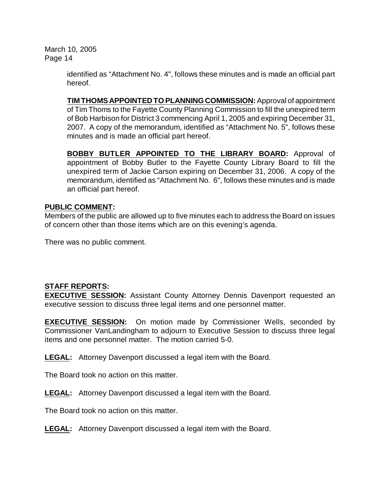> identified as "Attachment No. 4", follows these minutes and is made an official part hereof.

> **TIM THOMS APPOINTED TO PLANNING COMMISSION:** Approval of appointment of Tim Thoms to the Fayette County Planning Commission to fill the unexpired term of Bob Harbison for District 3 commencing April 1, 2005 and expiring December 31, 2007. A copy of the memorandum, identified as "Attachment No. 5", follows these minutes and is made an official part hereof.

> **BOBBY BUTLER APPOINTED TO THE LIBRARY BOARD:** Approval of appointment of Bobby Butler to the Fayette County Library Board to fill the unexpired term of Jackie Carson expiring on December 31, 2006. A copy of the memorandum, identified as "Attachment No. 6", follows these minutes and is made an official part hereof.

# **PUBLIC COMMENT:**

Members of the public are allowed up to five minutes each to address the Board on issues of concern other than those items which are on this evening's agenda.

There was no public comment.

# **STAFF REPORTS:**

**EXECUTIVE SESSION:** Assistant County Attorney Dennis Davenport requested an executive session to discuss three legal items and one personnel matter.

**EXECUTIVE SESSION:** On motion made by Commissioner Wells, seconded by Commissioner VanLandingham to adjourn to Executive Session to discuss three legal items and one personnel matter. The motion carried 5-0.

**LEGAL:** Attorney Davenport discussed a legal item with the Board.

The Board took no action on this matter.

**LEGAL:** Attorney Davenport discussed a legal item with the Board.

The Board took no action on this matter.

**LEGAL:** Attorney Davenport discussed a legal item with the Board.